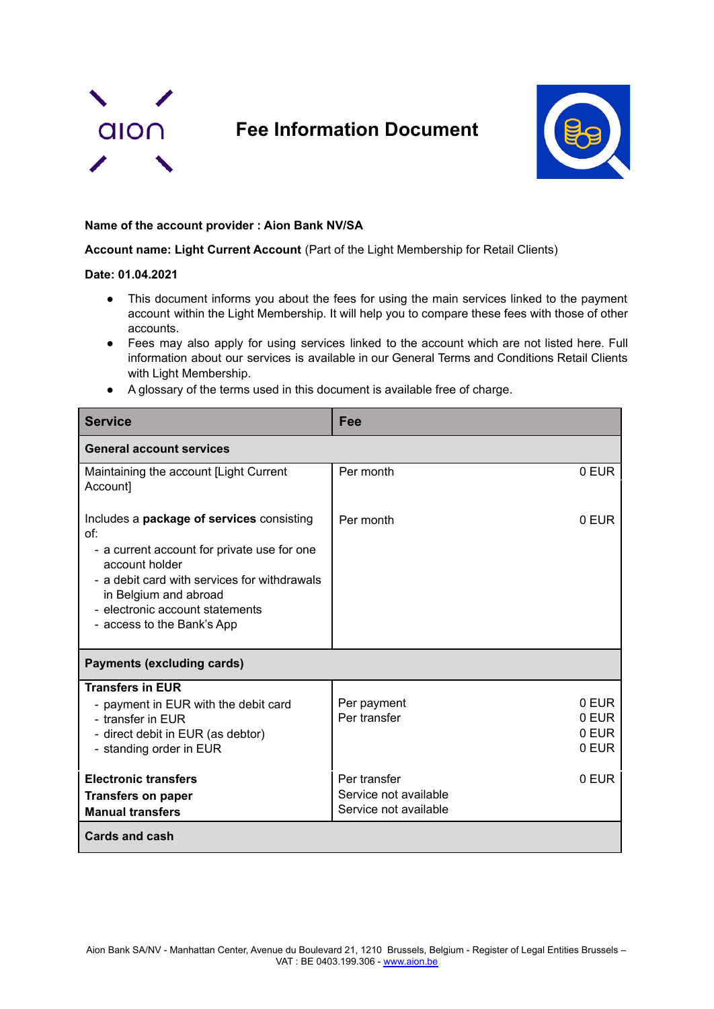

## **Fee Information Document**



## **Name of the account provider : Aion Bank NV/SA**

**Account name: Light Current Account** (Part of the Light Membership for Retail Clients)

## **Date: 01.04.2021**

- This document informs you about the fees for using the main services linked to the payment account within the Light Membership. It will help you to compare these fees with those of other accounts.
- Fees may also apply for using services linked to the account which are not listed here. Full information about our services is available in our General Terms and Conditions Retail Clients with Light Membership.
- A glossary of the terms used in this document is available free of charge.

| <b>Service</b>                                                                                                                                                                                                                                              | Fee                                                            |                                  |  |
|-------------------------------------------------------------------------------------------------------------------------------------------------------------------------------------------------------------------------------------------------------------|----------------------------------------------------------------|----------------------------------|--|
| <b>General account services</b>                                                                                                                                                                                                                             |                                                                |                                  |  |
| Maintaining the account [Light Current]<br>Account]                                                                                                                                                                                                         | Per month                                                      | 0 EUR                            |  |
| Includes a package of services consisting<br>of:<br>- a current account for private use for one<br>account holder<br>- a debit card with services for withdrawals<br>in Belgium and abroad<br>- electronic account statements<br>- access to the Bank's App | Per month                                                      | 0 EUR                            |  |
| <b>Payments (excluding cards)</b>                                                                                                                                                                                                                           |                                                                |                                  |  |
| <b>Transfers in EUR</b><br>- payment in EUR with the debit card<br>- transfer in EUR<br>- direct debit in EUR (as debtor)<br>- standing order in EUR                                                                                                        | Per payment<br>Per transfer                                    | 0 EUR<br>0 EUR<br>0 EUR<br>0 EUR |  |
| <b>Electronic transfers</b><br><b>Transfers on paper</b><br><b>Manual transfers</b>                                                                                                                                                                         | Per transfer<br>Service not available<br>Service not available | 0 EUR                            |  |
| <b>Cards and cash</b>                                                                                                                                                                                                                                       |                                                                |                                  |  |